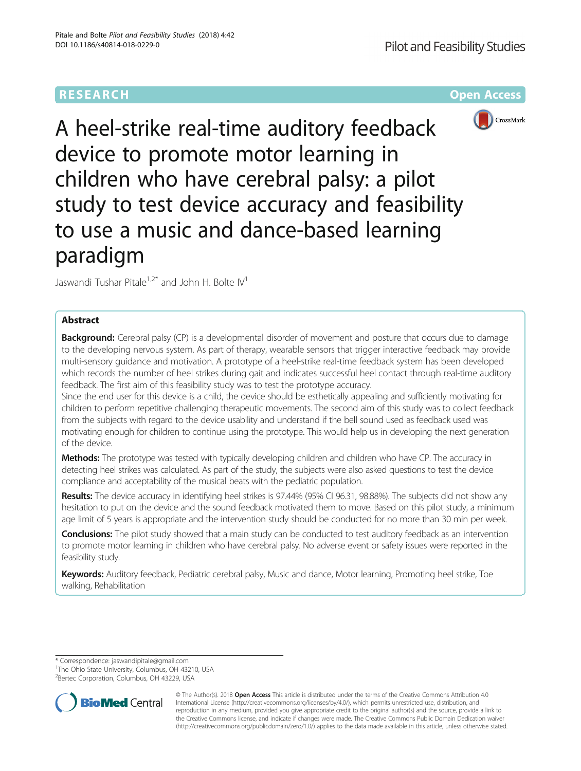# **RESEARCH CHE Open Access**



A heel-strike real-time auditory feedback device to promote motor learning in children who have cerebral palsy: a pilot study to test device accuracy and feasibility to use a music and dance-based learning paradigm

Jaswandi Tushar Pitale<sup>1,2\*</sup> and John H. Bolte IV<sup>1</sup>

## Abstract

**Background:** Cerebral palsy (CP) is a developmental disorder of movement and posture that occurs due to damage to the developing nervous system. As part of therapy, wearable sensors that trigger interactive feedback may provide multi-sensory guidance and motivation. A prototype of a heel-strike real-time feedback system has been developed which records the number of heel strikes during gait and indicates successful heel contact through real-time auditory feedback. The first aim of this feasibility study was to test the prototype accuracy.

Since the end user for this device is a child, the device should be esthetically appealing and sufficiently motivating for children to perform repetitive challenging therapeutic movements. The second aim of this study was to collect feedback from the subjects with regard to the device usability and understand if the bell sound used as feedback used was motivating enough for children to continue using the prototype. This would help us in developing the next generation of the device.

Methods: The prototype was tested with typically developing children and children who have CP. The accuracy in detecting heel strikes was calculated. As part of the study, the subjects were also asked questions to test the device compliance and acceptability of the musical beats with the pediatric population.

Results: The device accuracy in identifying heel strikes is 97.44% (95% CI 96.31, 98.88%). The subjects did not show any hesitation to put on the device and the sound feedback motivated them to move. Based on this pilot study, a minimum age limit of 5 years is appropriate and the intervention study should be conducted for no more than 30 min per week.

Conclusions: The pilot study showed that a main study can be conducted to test auditory feedback as an intervention to promote motor learning in children who have cerebral palsy. No adverse event or safety issues were reported in the feasibility study.

Keywords: Auditory feedback, Pediatric cerebral palsy, Music and dance, Motor learning, Promoting heel strike, Toe walking, Rehabilitation

\* Correspondence: [jaswandipitale@gmail.com](mailto:jaswandipitale@gmail.com) <sup>1</sup>

<sup>1</sup>The Ohio State University, Columbus, OH 43210, USA

2 Bertec Corporation, Columbus, OH 43229, USA



© The Author(s). 2018 Open Access This article is distributed under the terms of the Creative Commons Attribution 4.0 International License [\(http://creativecommons.org/licenses/by/4.0/](http://creativecommons.org/licenses/by/4.0/)), which permits unrestricted use, distribution, and reproduction in any medium, provided you give appropriate credit to the original author(s) and the source, provide a link to the Creative Commons license, and indicate if changes were made. The Creative Commons Public Domain Dedication waiver [\(http://creativecommons.org/publicdomain/zero/1.0/](http://creativecommons.org/publicdomain/zero/1.0/)) applies to the data made available in this article, unless otherwise stated.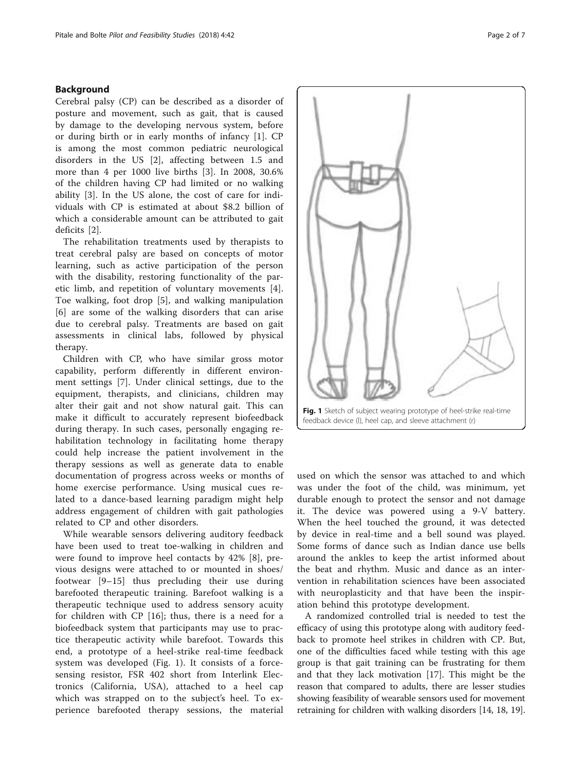### Background

Cerebral palsy (CP) can be described as a disorder of posture and movement, such as gait, that is caused by damage to the developing nervous system, before or during birth or in early months of infancy [\[1](#page-6-0)]. CP is among the most common pediatric neurological disorders in the US [\[2](#page-6-0)], affecting between 1.5 and more than 4 per 1000 live births [[3\]](#page-6-0). In 2008, 30.6% of the children having CP had limited or no walking ability [[3\]](#page-6-0). In the US alone, the cost of care for individuals with CP is estimated at about \$8.2 billion of which a considerable amount can be attributed to gait deficits [[2\]](#page-6-0).

The rehabilitation treatments used by therapists to treat cerebral palsy are based on concepts of motor learning, such as active participation of the person with the disability, restoring functionality of the paretic limb, and repetition of voluntary movements [\[4](#page-6-0)]. Toe walking, foot drop [\[5](#page-6-0)], and walking manipulation [[6\]](#page-6-0) are some of the walking disorders that can arise due to cerebral palsy. Treatments are based on gait assessments in clinical labs, followed by physical therapy.

Children with CP, who have similar gross motor capability, perform differently in different environment settings [\[7](#page-6-0)]. Under clinical settings, due to the equipment, therapists, and clinicians, children may alter their gait and not show natural gait. This can make it difficult to accurately represent biofeedback during therapy. In such cases, personally engaging rehabilitation technology in facilitating home therapy could help increase the patient involvement in the therapy sessions as well as generate data to enable documentation of progress across weeks or months of home exercise performance. Using musical cues related to a dance-based learning paradigm might help address engagement of children with gait pathologies related to CP and other disorders.

While wearable sensors delivering auditory feedback have been used to treat toe-walking in children and were found to improve heel contacts by 42% [[8\]](#page-6-0), previous designs were attached to or mounted in shoes/ footwear [[9](#page-6-0)–[15](#page-6-0)] thus precluding their use during barefooted therapeutic training. Barefoot walking is a therapeutic technique used to address sensory acuity for children with CP [[16\]](#page-6-0); thus, there is a need for a biofeedback system that participants may use to practice therapeutic activity while barefoot. Towards this end, a prototype of a heel-strike real-time feedback system was developed (Fig. 1). It consists of a forcesensing resistor, FSR 402 short from Interlink Electronics (California, USA), attached to a heel cap which was strapped on to the subject's heel. To experience barefooted therapy sessions, the material



used on which the sensor was attached to and which was under the foot of the child, was minimum, yet durable enough to protect the sensor and not damage it. The device was powered using a 9-V battery. When the heel touched the ground, it was detected by device in real-time and a bell sound was played. Some forms of dance such as Indian dance use bells around the ankles to keep the artist informed about the beat and rhythm. Music and dance as an intervention in rehabilitation sciences have been associated with neuroplasticity and that have been the inspiration behind this prototype development.

A randomized controlled trial is needed to test the efficacy of using this prototype along with auditory feedback to promote heel strikes in children with CP. But, one of the difficulties faced while testing with this age group is that gait training can be frustrating for them and that they lack motivation [\[17](#page-6-0)]. This might be the reason that compared to adults, there are lesser studies showing feasibility of wearable sensors used for movement retraining for children with walking disorders [\[14, 18, 19](#page-6-0)].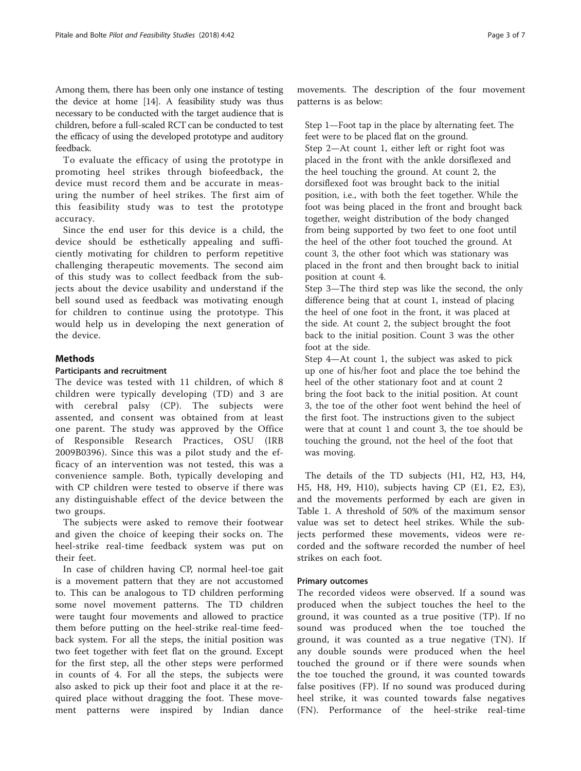Among them, there has been only one instance of testing the device at home [[14](#page-6-0)]. A feasibility study was thus necessary to be conducted with the target audience that is children, before a full-scaled RCT can be conducted to test the efficacy of using the developed prototype and auditory feedback.

To evaluate the efficacy of using the prototype in promoting heel strikes through biofeedback, the device must record them and be accurate in measuring the number of heel strikes. The first aim of this feasibility study was to test the prototype accuracy.

Since the end user for this device is a child, the device should be esthetically appealing and sufficiently motivating for children to perform repetitive challenging therapeutic movements. The second aim of this study was to collect feedback from the subjects about the device usability and understand if the bell sound used as feedback was motivating enough for children to continue using the prototype. This would help us in developing the next generation of the device.

### **Methods**

### Participants and recruitment

The device was tested with 11 children, of which 8 children were typically developing (TD) and 3 are with cerebral palsy (CP). The subjects were assented, and consent was obtained from at least one parent. The study was approved by the Office of Responsible Research Practices, OSU (IRB 2009B0396). Since this was a pilot study and the efficacy of an intervention was not tested, this was a convenience sample. Both, typically developing and with CP children were tested to observe if there was any distinguishable effect of the device between the two groups.

The subjects were asked to remove their footwear and given the choice of keeping their socks on. The heel-strike real-time feedback system was put on their feet.

In case of children having CP, normal heel-toe gait is a movement pattern that they are not accustomed to. This can be analogous to TD children performing some novel movement patterns. The TD children were taught four movements and allowed to practice them before putting on the heel-strike real-time feedback system. For all the steps, the initial position was two feet together with feet flat on the ground. Except for the first step, all the other steps were performed in counts of 4. For all the steps, the subjects were also asked to pick up their foot and place it at the required place without dragging the foot. These movement patterns were inspired by Indian dance

movements. The description of the four movement patterns is as below:

Step 1—Foot tap in the place by alternating feet. The feet were to be placed flat on the ground.

Step 2—At count 1, either left or right foot was placed in the front with the ankle dorsiflexed and the heel touching the ground. At count 2, the dorsiflexed foot was brought back to the initial position, i.e., with both the feet together. While the foot was being placed in the front and brought back together, weight distribution of the body changed from being supported by two feet to one foot until the heel of the other foot touched the ground. At count 3, the other foot which was stationary was placed in the front and then brought back to initial position at count 4.

Step 3—The third step was like the second, the only difference being that at count 1, instead of placing the heel of one foot in the front, it was placed at the side. At count 2, the subject brought the foot back to the initial position. Count 3 was the other foot at the side.

Step 4—At count 1, the subject was asked to pick up one of his/her foot and place the toe behind the heel of the other stationary foot and at count 2 bring the foot back to the initial position. At count 3, the toe of the other foot went behind the heel of the first foot. The instructions given to the subject were that at count 1 and count 3, the toe should be touching the ground, not the heel of the foot that was moving.

The details of the TD subjects (H1, H2, H3, H4, H5, H8, H9, H10), subjects having CP (E1, E2, E3), and the movements performed by each are given in Table [1.](#page-3-0) A threshold of 50% of the maximum sensor value was set to detect heel strikes. While the subjects performed these movements, videos were recorded and the software recorded the number of heel strikes on each foot.

### Primary outcomes

The recorded videos were observed. If a sound was produced when the subject touches the heel to the ground, it was counted as a true positive (TP). If no sound was produced when the toe touched the ground, it was counted as a true negative (TN). If any double sounds were produced when the heel touched the ground or if there were sounds when the toe touched the ground, it was counted towards false positives (FP). If no sound was produced during heel strike, it was counted towards false negatives (FN). Performance of the heel-strike real-time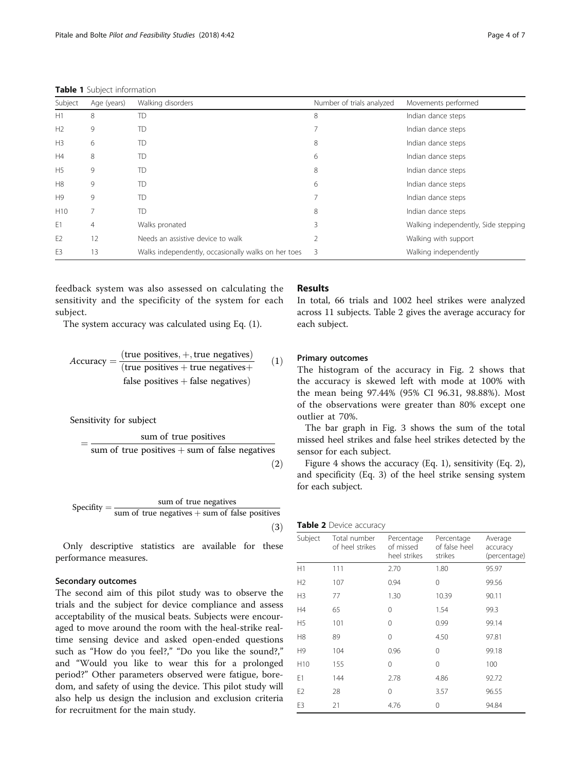<span id="page-3-0"></span>Table 1 Subject information

| <b>TANIC I</b> JUDICLE INTOITION OF |             |                   |                           |                                      |  |
|-------------------------------------|-------------|-------------------|---------------------------|--------------------------------------|--|
| Subject                             | Age (years) | Walking disorders | Number of trials analyzed | Movements performed                  |  |
| H1                                  | 8           | TD                | 8                         | Indian dance steps                   |  |
| H <sub>2</sub>                      | 9           | TD                |                           | Indian dance steps                   |  |
| H <sub>3</sub>                      | 6           | TD                | 8                         | Indian dance steps                   |  |
| H4                                  | 8           | TD                | 6                         | Indian dance steps                   |  |
| H <sub>5</sub>                      | 9           | TD                | 8                         | Indian dance steps                   |  |
| H <sub>8</sub>                      | 9           | TD                | 6                         | Indian dance steps                   |  |
| H9                                  | 9           | TD                |                           | Indian dance steps                   |  |
| H <sub>10</sub>                     |             | TD                | 8                         | Indian dance steps                   |  |
| E1                                  |             | Walks pronated    |                           | Walking independently, Side stepping |  |

E2 12 Needs an assistive device to walk 2 2 Walking with support E3 13 Walks independently, occasionally walks on her toes 3 Walking independently

feedback system was also assessed on calculating the sensitivity and the specificity of the system for each subject.

The system accuracy was calculated using Eq. (1).

$$
Accuracy = \frac{(true \text{ positives}, +, true \text{ negatives})}{(true \text{ positives} + true \text{ negatives} +}
$$
 (1)  
false positives + false negatives)

Sensitivity for subject

$$
= \frac{\text{sum of true positives}}{\text{sum of true positives} + \text{sum of false negatives}} \tag{2}
$$

$$
Specificity = \frac{\text{sum of true negatives}}{\text{sum of true negatives} + \text{sum of false positives}}
$$
\n(3)

Only descriptive statistics are available for these performance measures.

### Secondary outcomes

The second aim of this pilot study was to observe the trials and the subject for device compliance and assess acceptability of the musical beats. Subjects were encouraged to move around the room with the heal-strike realtime sensing device and asked open-ended questions such as "How do you feel?," "Do you like the sound?," and "Would you like to wear this for a prolonged period?" Other parameters observed were fatigue, boredom, and safety of using the device. This pilot study will also help us design the inclusion and exclusion criteria for recruitment for the main study.

### Results

In total, 66 trials and 1002 heel strikes were analyzed across 11 subjects. Table 2 gives the average accuracy for each subject.

### Primary outcomes

The histogram of the accuracy in Fig. [2](#page-4-0) shows that the accuracy is skewed left with mode at 100% with the mean being 97.44% (95% CI 96.31, 98.88%). Most of the observations were greater than 80% except one outlier at 70%.

The bar graph in Fig. [3](#page-4-0) shows the sum of the total missed heel strikes and false heel strikes detected by the sensor for each subject.

Figure [4](#page-4-0) shows the accuracy (Eq. 1), sensitivity (Eq. 2), and specificity (Eq. 3) of the heel strike sensing system for each subject.

|  |  |  | Table 2 Device accuracy |
|--|--|--|-------------------------|
|--|--|--|-------------------------|

| Subject         | Total number<br>of heel strikes | Percentage<br>of missed<br>heel strikes | Percentage<br>of false heel<br>strikes | Average<br>accuracy<br>(percentage) |
|-----------------|---------------------------------|-----------------------------------------|----------------------------------------|-------------------------------------|
| H1              | 111                             | 2.70                                    | 1.80                                   | 95.97                               |
| H2              | 107                             | 0.94                                    | 0                                      | 99.56                               |
| H3              | 77                              | 1.30                                    | 10.39                                  | 90.11                               |
| Η4              | 65                              | 0                                       | 1.54                                   | 99.3                                |
| H5              | 101                             | $\Omega$                                | 0.99                                   | 99.14                               |
| H8              | 89                              | $\Omega$                                | 4.50                                   | 97.81                               |
| Н9              | 104                             | 0.96                                    | 0                                      | 99.18                               |
| H <sub>10</sub> | 155                             | $\Omega$                                | 0                                      | 100                                 |
| E1              | 144                             | 2.78                                    | 4.86                                   | 92.72                               |
| E <sub>2</sub>  | 28                              | $\Omega$                                | 3.57                                   | 96.55                               |
| E3              | 21                              | 4.76                                    | 0                                      | 94.84                               |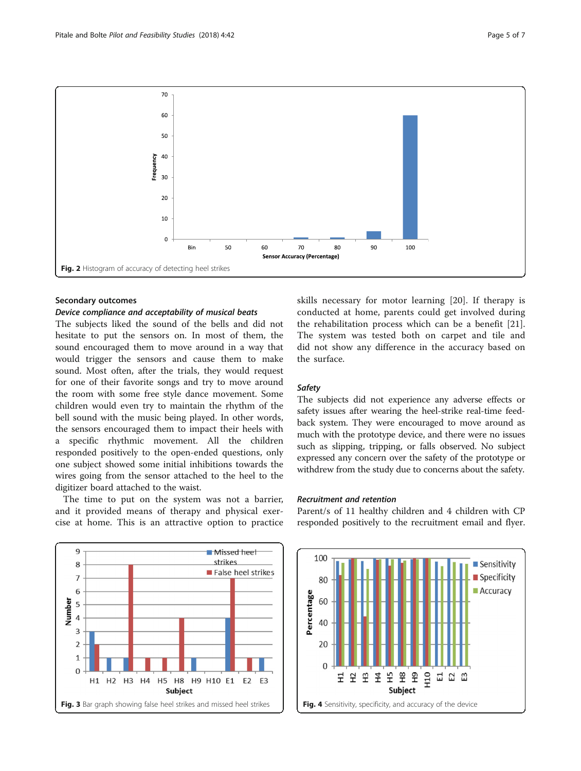<span id="page-4-0"></span>

### Secondary outcomes

### Device compliance and acceptability of musical beats

The subjects liked the sound of the bells and did not hesitate to put the sensors on. In most of them, the sound encouraged them to move around in a way that would trigger the sensors and cause them to make sound. Most often, after the trials, they would request for one of their favorite songs and try to move around the room with some free style dance movement. Some children would even try to maintain the rhythm of the bell sound with the music being played. In other words, the sensors encouraged them to impact their heels with a specific rhythmic movement. All the children responded positively to the open-ended questions, only one subject showed some initial inhibitions towards the wires going from the sensor attached to the heel to the digitizer board attached to the waist.

The time to put on the system was not a barrier, and it provided means of therapy and physical exercise at home. This is an attractive option to practice

 $\alpha$ Missed heet strikes 8 False heel strikes  $\overline{7}$ 6 Number<br>4<br> $\frac{5}{4}$ 3  $\overline{2}$  $\mathbf{1}$  $\Omega$ H3 H4 H5 H<sub>8</sub> H9 H10 E1  $H1$  $H<sub>2</sub>$ E<sub>2</sub> E<sub>3</sub> Subject

skills necessary for motor learning [\[20](#page-6-0)]. If therapy is conducted at home, parents could get involved during the rehabilitation process which can be a benefit [\[21](#page-6-0)]. The system was tested both on carpet and tile and did not show any difference in the accuracy based on the surface.

### Safety

The subjects did not experience any adverse effects or safety issues after wearing the heel-strike real-time feedback system. They were encouraged to move around as much with the prototype device, and there were no issues such as slipping, tripping, or falls observed. No subject expressed any concern over the safety of the prototype or withdrew from the study due to concerns about the safety.

### Recruitment and retention

Parent/s of 11 healthy children and 4 children with CP responded positively to the recruitment email and flyer.

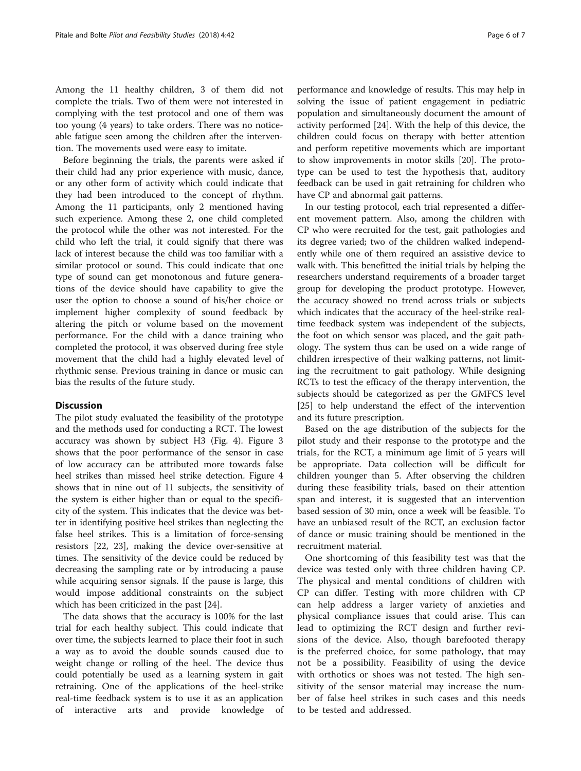Among the 11 healthy children, 3 of them did not complete the trials. Two of them were not interested in complying with the test protocol and one of them was too young (4 years) to take orders. There was no noticeable fatigue seen among the children after the intervention. The movements used were easy to imitate.

Before beginning the trials, the parents were asked if their child had any prior experience with music, dance, or any other form of activity which could indicate that they had been introduced to the concept of rhythm. Among the 11 participants, only 2 mentioned having such experience. Among these 2, one child completed the protocol while the other was not interested. For the child who left the trial, it could signify that there was lack of interest because the child was too familiar with a similar protocol or sound. This could indicate that one type of sound can get monotonous and future generations of the device should have capability to give the user the option to choose a sound of his/her choice or implement higher complexity of sound feedback by altering the pitch or volume based on the movement performance. For the child with a dance training who completed the protocol, it was observed during free style movement that the child had a highly elevated level of rhythmic sense. Previous training in dance or music can bias the results of the future study.

### **Discussion**

The pilot study evaluated the feasibility of the prototype and the methods used for conducting a RCT. The lowest accuracy was shown by subject H3 (Fig. [4\)](#page-4-0). Figure [3](#page-4-0) shows that the poor performance of the sensor in case of low accuracy can be attributed more towards false heel strikes than missed heel strike detection. Figure [4](#page-4-0) shows that in nine out of 11 subjects, the sensitivity of the system is either higher than or equal to the specificity of the system. This indicates that the device was better in identifying positive heel strikes than neglecting the false heel strikes. This is a limitation of force-sensing resistors [\[22, 23](#page-6-0)], making the device over-sensitive at times. The sensitivity of the device could be reduced by decreasing the sampling rate or by introducing a pause while acquiring sensor signals. If the pause is large, this would impose additional constraints on the subject which has been criticized in the past [[24](#page-6-0)].

The data shows that the accuracy is 100% for the last trial for each healthy subject. This could indicate that over time, the subjects learned to place their foot in such a way as to avoid the double sounds caused due to weight change or rolling of the heel. The device thus could potentially be used as a learning system in gait retraining. One of the applications of the heel-strike real-time feedback system is to use it as an application of interactive arts and provide knowledge of

performance and knowledge of results. This may help in solving the issue of patient engagement in pediatric population and simultaneously document the amount of activity performed [\[24\]](#page-6-0). With the help of this device, the children could focus on therapy with better attention and perform repetitive movements which are important to show improvements in motor skills [\[20](#page-6-0)]. The prototype can be used to test the hypothesis that, auditory feedback can be used in gait retraining for children who have CP and abnormal gait patterns.

In our testing protocol, each trial represented a different movement pattern. Also, among the children with CP who were recruited for the test, gait pathologies and its degree varied; two of the children walked independently while one of them required an assistive device to walk with. This benefitted the initial trials by helping the researchers understand requirements of a broader target group for developing the product prototype. However, the accuracy showed no trend across trials or subjects which indicates that the accuracy of the heel-strike realtime feedback system was independent of the subjects, the foot on which sensor was placed, and the gait pathology. The system thus can be used on a wide range of children irrespective of their walking patterns, not limiting the recruitment to gait pathology. While designing RCTs to test the efficacy of the therapy intervention, the subjects should be categorized as per the GMFCS level [[25\]](#page-6-0) to help understand the effect of the intervention and its future prescription.

Based on the age distribution of the subjects for the pilot study and their response to the prototype and the trials, for the RCT, a minimum age limit of 5 years will be appropriate. Data collection will be difficult for children younger than 5. After observing the children during these feasibility trials, based on their attention span and interest, it is suggested that an intervention based session of 30 min, once a week will be feasible. To have an unbiased result of the RCT, an exclusion factor of dance or music training should be mentioned in the recruitment material.

One shortcoming of this feasibility test was that the device was tested only with three children having CP. The physical and mental conditions of children with CP can differ. Testing with more children with CP can help address a larger variety of anxieties and physical compliance issues that could arise. This can lead to optimizing the RCT design and further revisions of the device. Also, though barefooted therapy is the preferred choice, for some pathology, that may not be a possibility. Feasibility of using the device with orthotics or shoes was not tested. The high sensitivity of the sensor material may increase the number of false heel strikes in such cases and this needs to be tested and addressed.